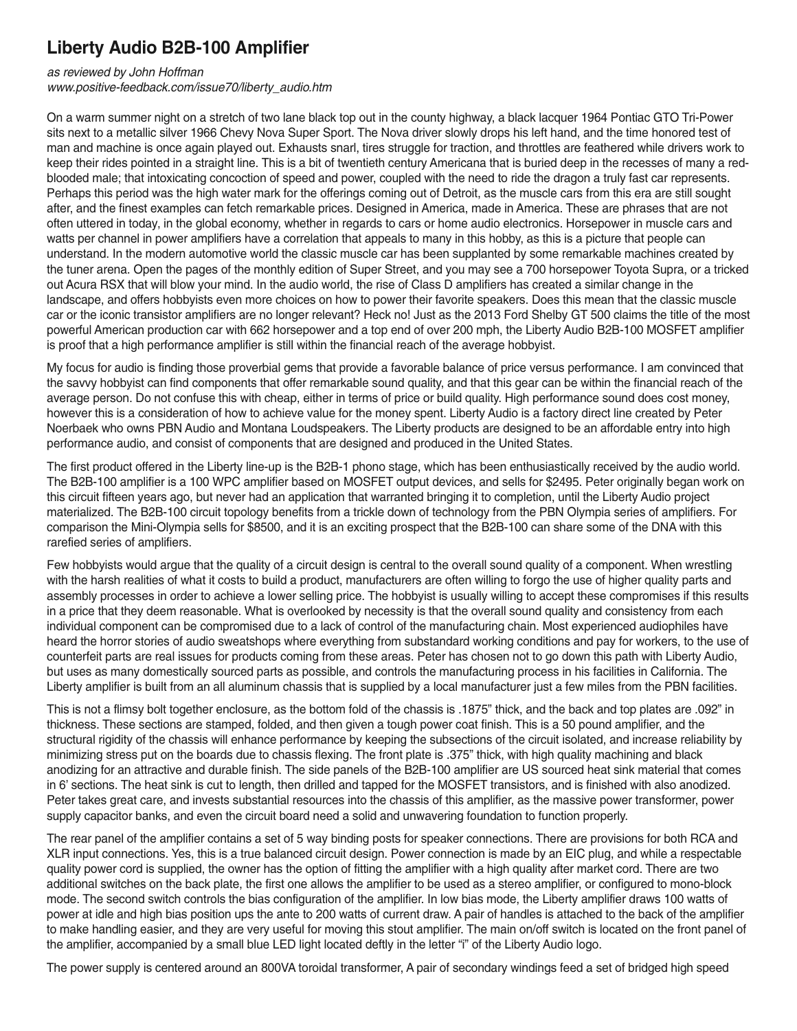## **Liberty Audio B2B-100 Amplifier**

*as reviewed by John Hoffman*

*www.positive-feedback.com/issue70/liberty\_audio.htm*

On a warm summer night on a stretch of two lane black top out in the county highway, a black lacquer 1964 Pontiac GTO Tri-Power sits next to a metallic silver 1966 Chevy Nova Super Sport. The Nova driver slowly drops his left hand, and the time honored test of man and machine is once again played out. Exhausts snarl, tires struggle for traction, and throttles are feathered while drivers work to keep their rides pointed in a straight line. This is a bit of twentieth century Americana that is buried deep in the recesses of many a redblooded male; that intoxicating concoction of speed and power, coupled with the need to ride the dragon a truly fast car represents. Perhaps this period was the high water mark for the offerings coming out of Detroit, as the muscle cars from this era are still sought after, and the finest examples can fetch remarkable prices. Designed in America, made in America. These are phrases that are not often uttered in today' in the global economy, whether in regards to cars or home audio electronics. Horsepower in muscle cars and watts per channel in power amplifiers have a correlation that appeals to many in this hobby, as this is a picture that people can understand. In the modern automotive world the classic muscle car has been supplanted by some remarkable machines created by the tuner arena. Open the pages of the monthly edition of Super Street, and you may see a 700 horsepower Toyota Supra, or a tricked out Acura RSX that will blow your mind. In the audio world, the rise of Class D amplifiers has created a similar change in the landscape, and offers hobbyists even more choices on how to power their favorite speakers. Does this mean that the classic muscle car or the iconic transistor amplifiers are no longer relevant? Heck no! Just as the 2013 Ford Shelby GT 500 claims the title of the most powerful American production car with 662 horsepower and a top end of over 200 mph, the Liberty Audio B2B-100 MOSFET amplifier is proof that a high performance amplifier is still within the financial reach of the average hobbyist.

My focus for audio is finding those proverbial gems that provide a favorable balance of price versus performance. I am convinced that the savvy hobbyist can find components that offer remarkable sound quality, and that this gear can be within the financial reach of the average person. Do not confuse this with cheap, either in terms of price or build quality. High performance sound does cost money, however this is a consideration of how to achieve value for the money spent. Liberty Audio is a factory direct line created by Peter Noerbaek who owns PBN Audio and Montana Loudspeakers. The Liberty products are designed to be an affordable entry into high performance audio, and consist of components that are designed and produced in the United States.

The first product offered in the Liberty line-up is the B2B-1 phono stage, which has been enthusiastically received by the audio world. The B2B-100 amplifier is a 100 WPC amplifier based on MOSFET output devices, and sells for \$2495. Peter originally began work on this circuit fifteen years ago, but never had an application that warranted bringing it to completion, until the Liberty Audio project materialized. The B2B-100 circuit topology benefits from a trickle down of technology from the PBN Olympia series of amplifiers. For comparison the Mini-Olympia sells for \$8500, and it is an exciting prospect that the B2B-100 can share some of the DNA with this rarefied series of amplifiers.

Few hobbyists would argue that the quality of a circuit design is central to the overall sound quality of a component. When wrestling with the harsh realities of what it costs to build a product, manufacturers are often willing to forgo the use of higher quality parts and assembly processes in order to achieve a lower selling price. The hobbyist is usually willing to accept these compromises if this results in a price that they deem reasonable. What is overlooked by necessity is that the overall sound quality and consistency from each individual component can be compromised due to a lack of control of the manufacturing chain. Most experienced audiophiles have heard the horror stories of audio sweatshops where everything from substandard working conditions and pay for workers, to the use of counterfeit parts are real issues for products coming from these areas. Peter has chosen not to go down this path with Liberty Audio, but uses as many domestically sourced parts as possible, and controls the manufacturing process in his facilities in California. The Liberty amplifier is built from an all aluminum chassis that is supplied by a local manufacturer just a few miles from the PBN facilities.

This is not a flimsy bolt together enclosure, as the bottom fold of the chassis is .1875" thick, and the back and top plates are .092" in thickness. These sections are stamped, folded, and then given a tough power coat finish. This is a 50 pound amplifier, and the structural rigidity of the chassis will enhance performance by keeping the subsections of the circuit isolated, and increase reliability by minimizing stress put on the boards due to chassis flexing. The front plate is .375" thick, with high quality machining and black anodizing for an attractive and durable finish. The side panels of the B2B-100 amplifier are US sourced heat sink material that comes in 6' sections. The heat sink is cut to length, then drilled and tapped for the MOSFET transistors, and is finished with also anodized. Peter takes great care, and invests substantial resources into the chassis of this amplifier, as the massive power transformer, power supply capacitor banks, and even the circuit board need a solid and unwavering foundation to function properly.

The rear panel of the amplifier contains a set of 5 way binding posts for speaker connections. There are provisions for both RCA and XLR input connections. Yes, this is a true balanced circuit design. Power connection is made by an EIC plug, and while a respectable quality power cord is supplied, the owner has the option of fitting the amplifier with a high quality after market cord. There are two additional switches on the back plate, the first one allows the amplifier to be used as a stereo amplifier, or configured to mono-block mode. The second switch controls the bias configuration of the amplifier. In low bias mode, the Liberty amplifier draws 100 watts of power at idle and high bias position ups the ante to 200 watts of current draw. A pair of handles is attached to the back of the amplifier to make handling easier, and they are very useful for moving this stout amplifier. The main on/off switch is located on the front panel of the amplifier, accompanied by a small blue LED light located deftly in the letter "i" of the Liberty Audio logo.

The power supply is centered around an 800VA toroidal transformer, A pair of secondary windings feed a set of bridged high speed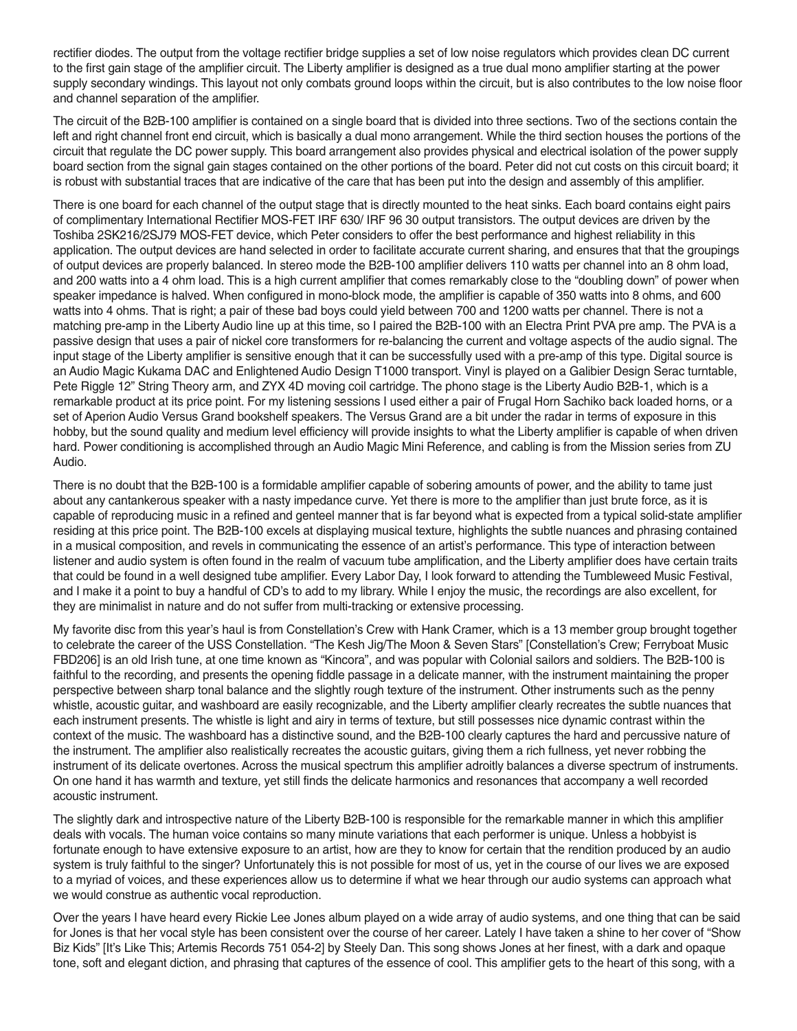rectifier diodes. The output from the voltage rectifier bridge supplies a set of low noise regulators which provides clean DC current to the first gain stage of the amplifier circuit. The Liberty amplifier is designed as a true dual mono amplifier starting at the power supply secondary windings. This layout not only combats ground loops within the circuit, but is also contributes to the low noise floor and channel separation of the amplifier.

The circuit of the B2B-100 amplifier is contained on a single board that is divided into three sections. Two of the sections contain the left and right channel front end circuit, which is basically a dual mono arrangement. While the third section houses the portions of the circuit that regulate the DC power supply. This board arrangement also provides physical and electrical isolation of the power supply board section from the signal gain stages contained on the other portions of the board. Peter did not cut costs on this circuit board; it is robust with substantial traces that are indicative of the care that has been put into the design and assembly of this amplifier.

There is one board for each channel of the output stage that is directly mounted to the heat sinks. Each board contains eight pairs of complimentary International Rectifier MOS-FET IRF 630/ IRF 96 30 output transistors. The output devices are driven by the Toshiba 2SK216/2SJ79 MOS-FET device, which Peter considers to offer the best performance and highest reliability in this application. The output devices are hand selected in order to facilitate accurate current sharing, and ensures that that the groupings of output devices are properly balanced. In stereo mode the B2B-100 amplifier delivers 110 watts per channel into an 8 ohm load, and 200 watts into a 4 ohm load. This is a high current amplifier that comes remarkably close to the "doubling down" of power when speaker impedance is halved. When configured in mono-block mode, the amplifier is capable of 350 watts into 8 ohms, and 600 watts into 4 ohms. That is right; a pair of these bad boys could yield between 700 and 1200 watts per channel. There is not a matching pre-amp in the Liberty Audio line up at this time, so I paired the B2B-100 with an Electra Print PVA pre amp. The PVA is a passive design that uses a pair of nickel core transformers for re-balancing the current and voltage aspects of the audio signal. The input stage of the Liberty amplifier is sensitive enough that it can be successfully used with a pre-amp of this type. Digital source is an Audio Magic Kukama DAC and Enlightened Audio Design T1000 transport. Vinyl is played on a Galibier Design Serac turntable, Pete Riggle 12" String Theory arm, and ZYX 4D moving coil cartridge. The phono stage is the Liberty Audio B2B-1, which is a remarkable product at its price point. For my listening sessions I used either a pair of Frugal Horn Sachiko back loaded horns, or a set of Aperion Audio Versus Grand bookshelf speakers. The Versus Grand are a bit under the radar in terms of exposure in this hobby, but the sound quality and medium level efficiency will provide insights to what the Liberty amplifier is capable of when driven hard. Power conditioning is accomplished through an Audio Magic Mini Reference, and cabling is from the Mission series from ZU Audio.

There is no doubt that the B2B-100 is a formidable amplifier capable of sobering amounts of power, and the ability to tame just about any cantankerous speaker with a nasty impedance curve. Yet there is more to the amplifier than just brute force, as it is capable of reproducing music in a refined and genteel manner that is far beyond what is expected from a typical solid-state amplifier residing at this price point. The B2B-100 excels at displaying musical texture, highlights the subtle nuances and phrasing contained in a musical composition, and revels in communicating the essence of an artist's performance. This type of interaction between listener and audio system is often found in the realm of vacuum tube amplification, and the Liberty amplifier does have certain traits that could be found in a well designed tube amplifier. Every Labor Day, I look forward to attending the Tumbleweed Music Festival, and I make it a point to buy a handful of CD's to add to my library. While I enjoy the music, the recordings are also excellent, for they are minimalist in nature and do not suffer from multi-tracking or extensive processing.

My favorite disc from this year's haul is from Constellation's Crew with Hank Cramer, which is a 13 member group brought together to celebrate the career of the USS Constellation. "The Kesh Jig/The Moon & Seven Stars" [Constellation's Crew; Ferryboat Music FBD206] is an old Irish tune, at one time known as "Kincora", and was popular with Colonial sailors and soldiers. The B2B-100 is faithful to the recording, and presents the opening fiddle passage in a delicate manner, with the instrument maintaining the proper perspective between sharp tonal balance and the slightly rough texture of the instrument. Other instruments such as the penny whistle, acoustic guitar, and washboard are easily recognizable, and the Liberty amplifier clearly recreates the subtle nuances that each instrument presents. The whistle is light and airy in terms of texture, but still possesses nice dynamic contrast within the context of the music. The washboard has a distinctive sound, and the B2B-100 clearly captures the hard and percussive nature of the instrument. The amplifier also realistically recreates the acoustic guitars, giving them a rich fullness, yet never robbing the instrument of its delicate overtones. Across the musical spectrum this amplifier adroitly balances a diverse spectrum of instruments. On one hand it has warmth and texture, yet still finds the delicate harmonics and resonances that accompany a well recorded acoustic instrument.

The slightly dark and introspective nature of the Liberty B2B-100 is responsible for the remarkable manner in which this amplifier deals with vocals. The human voice contains so many minute variations that each performer is unique. Unless a hobbyist is fortunate enough to have extensive exposure to an artist, how are they to know for certain that the rendition produced by an audio system is truly faithful to the singer? Unfortunately this is not possible for most of us, yet in the course of our lives we are exposed to a myriad of voices, and these experiences allow us to determine if what we hear through our audio systems can approach what we would construe as authentic vocal reproduction.

Over the years I have heard every Rickie Lee Jones album played on a wide array of audio systems, and one thing that can be said for Jones is that her vocal style has been consistent over the course of her career. Lately I have taken a shine to her cover of "Show Biz Kids" [It's Like This; Artemis Records 751 054-2] by Steely Dan. This song shows Jones at her finest, with a dark and opaque tone, soft and elegant diction, and phrasing that captures of the essence of cool. This amplifier gets to the heart of this song, with a